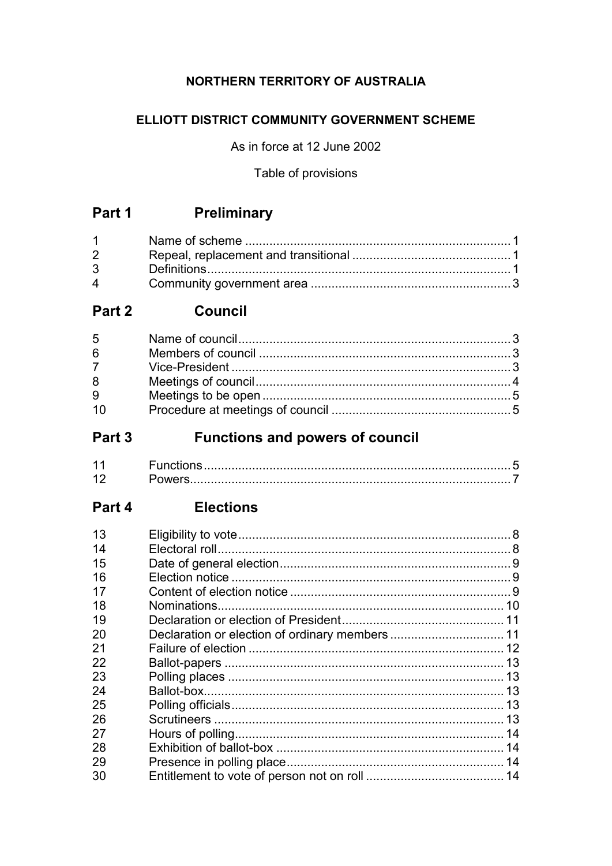### NORTHERN TERRITORY OF AUSTRALIA

### ELLIOTT DISTRICT COMMUNITY GOVERNMENT SCHEME

As in force at 12 June 2002

Table of provisions

# Part 1 Preliminary

| $1 \quad \blacksquare$         |  |
|--------------------------------|--|
| $2 \left( \frac{1}{2} \right)$ |  |
| $3^{\circ}$                    |  |
| $\mathbf{\Delta}$              |  |

## Part 2 Council

| $5^{\circ}$ |  |
|-------------|--|
| 6           |  |
| $7^{\circ}$ |  |
| 8           |  |
| 9           |  |
| .10         |  |

#### **Functions and powers of council** Part 3

### Part 4 Elections

| 13 |  |
|----|--|
| 14 |  |
| 15 |  |
| 16 |  |
| 17 |  |
| 18 |  |
| 19 |  |
| 20 |  |
| 21 |  |
| 22 |  |
| 23 |  |
| 24 |  |
| 25 |  |
| 26 |  |
| 27 |  |
| 28 |  |
| 29 |  |
| 30 |  |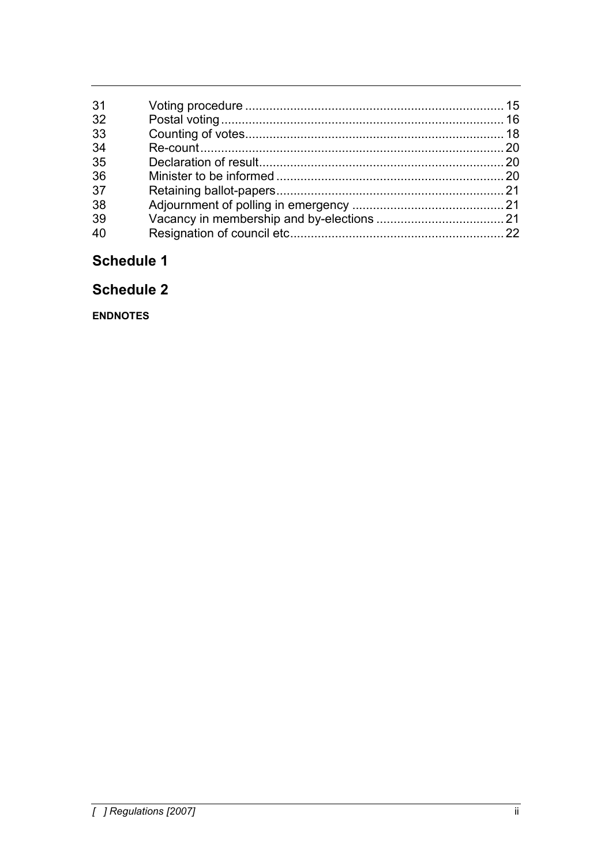| 31 |  |
|----|--|
| 32 |  |
| 33 |  |
| 34 |  |
| 35 |  |
| 36 |  |
| 37 |  |
| 38 |  |
| 39 |  |
|    |  |
|    |  |

# Schedule 1

## **Schedule 2**

**ENDNOTES**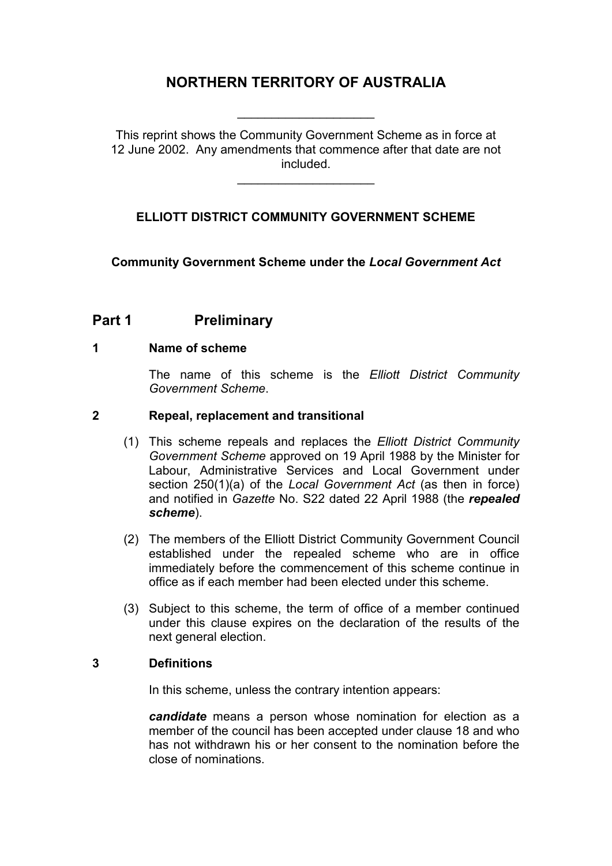## **NORTHERN TERRITORY OF AUSTRALIA**

\_\_\_\_\_\_\_\_\_\_\_\_\_\_\_\_\_\_\_\_

This reprint shows the Community Government Scheme as in force at 12 June 2002. Any amendments that commence after that date are not included.

\_\_\_\_\_\_\_\_\_\_\_\_\_\_\_\_\_\_\_\_

#### **ELLIOTT DISTRICT COMMUNITY GOVERNMENT SCHEME**

**Community Government Scheme under the** *Local Government Act*

### **Part 1 Preliminary**

#### **1 Name of scheme**

The name of this scheme is the *Elliott District Community Government Scheme*.

#### **2 Repeal, replacement and transitional**

- (1) This scheme repeals and replaces the *Elliott District Community Government Scheme* approved on 19 April 1988 by the Minister for Labour, Administrative Services and Local Government under section 250(1)(a) of the *Local Government Act* (as then in force) and notified in *Gazette* No. S22 dated 22 April 1988 (the *repealed scheme*).
- (2) The members of the Elliott District Community Government Council established under the repealed scheme who are in office immediately before the commencement of this scheme continue in office as if each member had been elected under this scheme.
- (3) Subject to this scheme, the term of office of a member continued under this clause expires on the declaration of the results of the next general election.

#### **3 Definitions**

In this scheme, unless the contrary intention appears:

*candidate* means a person whose nomination for election as a member of the council has been accepted under clause 18 and who has not withdrawn his or her consent to the nomination before the close of nominations.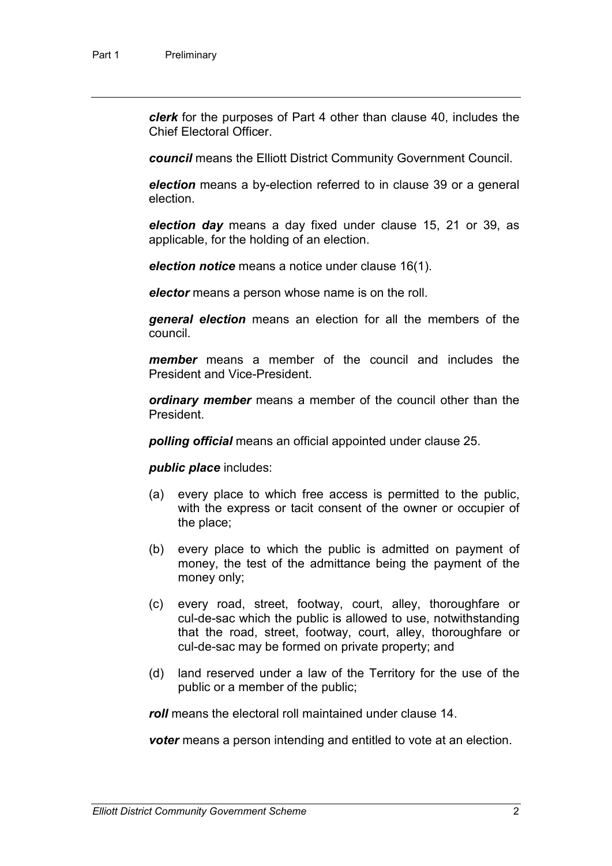*clerk* for the purposes of Part 4 other than clause 40, includes the Chief Electoral Officer.

*council* means the Elliott District Community Government Council.

*election* means a by-election referred to in clause 39 or a general election.

*election day* means a day fixed under clause 15, 21 or 39, as applicable, for the holding of an election.

*election notice* means a notice under clause 16(1).

*elector* means a person whose name is on the roll.

*general election* means an election for all the members of the council.

*member* means a member of the council and includes the President and Vice-President.

*ordinary member* means a member of the council other than the President.

*polling official* means an official appointed under clause 25.

*public place* includes:

- (a) every place to which free access is permitted to the public, with the express or tacit consent of the owner or occupier of the place;
- (b) every place to which the public is admitted on payment of money, the test of the admittance being the payment of the money only;
- (c) every road, street, footway, court, alley, thoroughfare or cul-de-sac which the public is allowed to use, notwithstanding that the road, street, footway, court, alley, thoroughfare or cul-de-sac may be formed on private property; and
- (d) land reserved under a law of the Territory for the use of the public or a member of the public;

*roll* means the electoral roll maintained under clause 14.

*voter* means a person intending and entitled to vote at an election.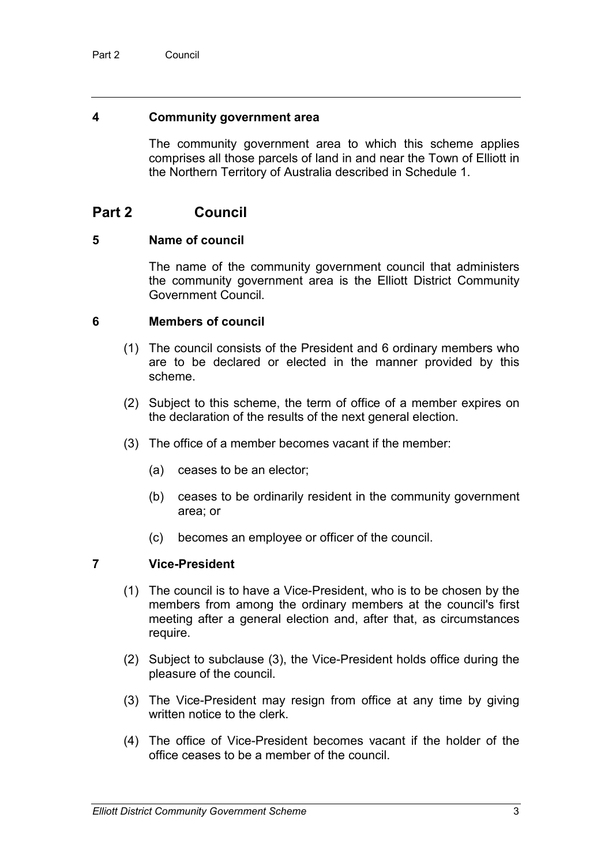#### **4 Community government area**

The community government area to which this scheme applies comprises all those parcels of land in and near the Town of Elliott in the Northern Territory of Australia described in Schedule 1.

### **Part 2 Council**

#### **5 Name of council**

The name of the community government council that administers the community government area is the Elliott District Community Government Council.

#### **6 Members of council**

- (1) The council consists of the President and 6 ordinary members who are to be declared or elected in the manner provided by this scheme.
- (2) Subject to this scheme, the term of office of a member expires on the declaration of the results of the next general election.
- (3) The office of a member becomes vacant if the member:
	- (a) ceases to be an elector;
	- (b) ceases to be ordinarily resident in the community government area; or
	- (c) becomes an employee or officer of the council.

#### **7 Vice-President**

- (1) The council is to have a Vice-President, who is to be chosen by the members from among the ordinary members at the council's first meeting after a general election and, after that, as circumstances require.
- (2) Subject to subclause (3), the Vice-President holds office during the pleasure of the council.
- (3) The Vice-President may resign from office at any time by giving written notice to the clerk.
- (4) The office of Vice-President becomes vacant if the holder of the office ceases to be a member of the council.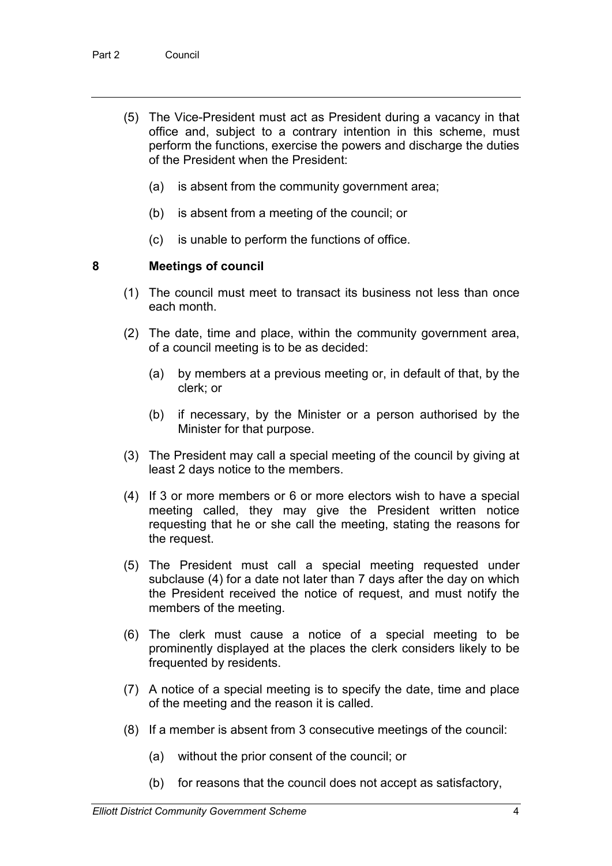- (5) The Vice-President must act as President during a vacancy in that office and, subject to a contrary intention in this scheme, must perform the functions, exercise the powers and discharge the duties of the President when the President:
	- (a) is absent from the community government area;
	- (b) is absent from a meeting of the council; or
	- (c) is unable to perform the functions of office.

#### **8 Meetings of council**

- (1) The council must meet to transact its business not less than once each month.
- (2) The date, time and place, within the community government area, of a council meeting is to be as decided:
	- (a) by members at a previous meeting or, in default of that, by the clerk; or
	- (b) if necessary, by the Minister or a person authorised by the Minister for that purpose.
- (3) The President may call a special meeting of the council by giving at least 2 days notice to the members.
- (4) If 3 or more members or 6 or more electors wish to have a special meeting called, they may give the President written notice requesting that he or she call the meeting, stating the reasons for the request.
- (5) The President must call a special meeting requested under subclause (4) for a date not later than 7 days after the day on which the President received the notice of request, and must notify the members of the meeting.
- (6) The clerk must cause a notice of a special meeting to be prominently displayed at the places the clerk considers likely to be frequented by residents.
- (7) A notice of a special meeting is to specify the date, time and place of the meeting and the reason it is called.
- (8) If a member is absent from 3 consecutive meetings of the council:
	- (a) without the prior consent of the council; or
	- (b) for reasons that the council does not accept as satisfactory,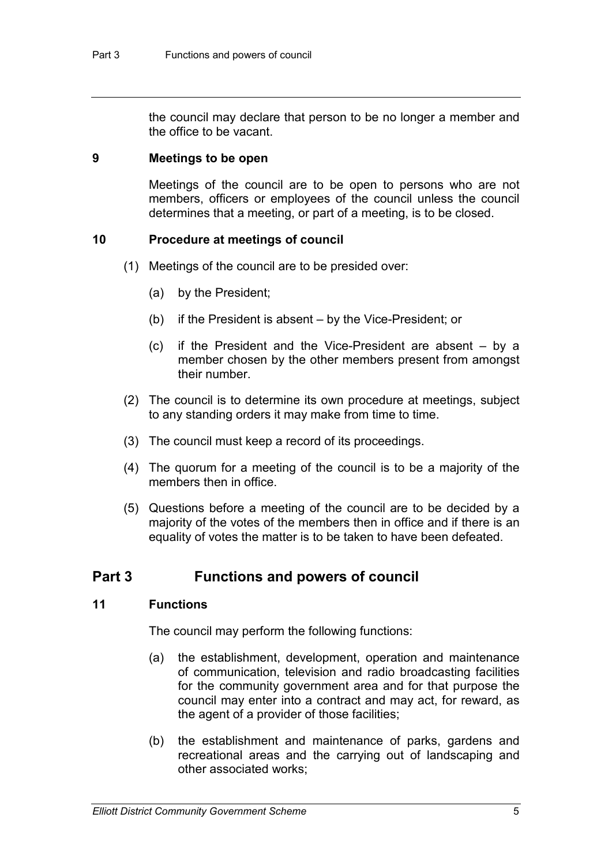the council may declare that person to be no longer a member and the office to be vacant.

#### **9 Meetings to be open**

Meetings of the council are to be open to persons who are not members, officers or employees of the council unless the council determines that a meeting, or part of a meeting, is to be closed.

#### **10 Procedure at meetings of council**

- (1) Meetings of the council are to be presided over:
	- (a) by the President;
	- (b) if the President is absent by the Vice-President; or
	- (c) if the President and the Vice-President are absent by a member chosen by the other members present from amongst their number.
- (2) The council is to determine its own procedure at meetings, subject to any standing orders it may make from time to time.
- (3) The council must keep a record of its proceedings.
- (4) The quorum for a meeting of the council is to be a majority of the members then in office.
- (5) Questions before a meeting of the council are to be decided by a majority of the votes of the members then in office and if there is an equality of votes the matter is to be taken to have been defeated.

#### **Part 3 Functions and powers of council**

#### **11 Functions**

The council may perform the following functions:

- (a) the establishment, development, operation and maintenance of communication, television and radio broadcasting facilities for the community government area and for that purpose the council may enter into a contract and may act, for reward, as the agent of a provider of those facilities;
- (b) the establishment and maintenance of parks, gardens and recreational areas and the carrying out of landscaping and other associated works;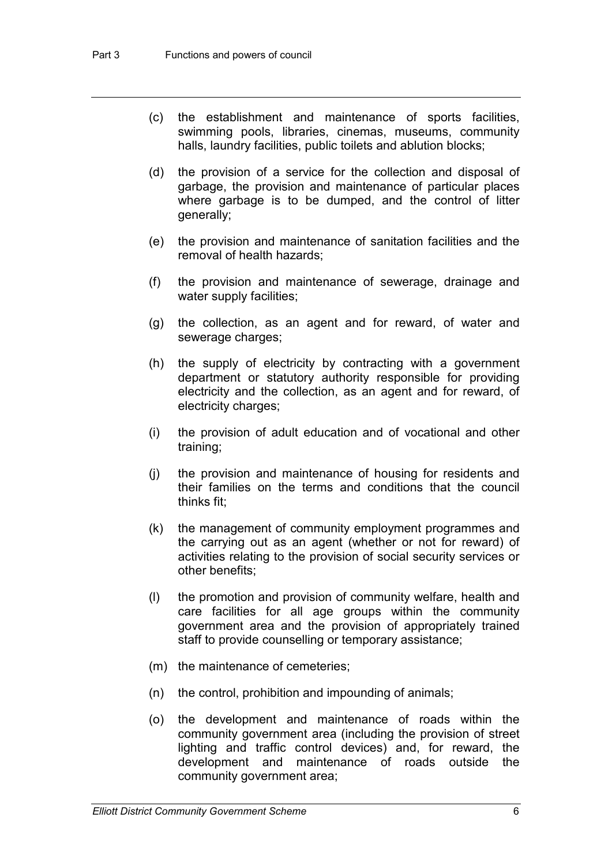- (c) the establishment and maintenance of sports facilities, swimming pools, libraries, cinemas, museums, community halls, laundry facilities, public toilets and ablution blocks;
- (d) the provision of a service for the collection and disposal of garbage, the provision and maintenance of particular places where garbage is to be dumped, and the control of litter generally;
- (e) the provision and maintenance of sanitation facilities and the removal of health hazards;
- (f) the provision and maintenance of sewerage, drainage and water supply facilities;
- (g) the collection, as an agent and for reward, of water and sewerage charges;
- (h) the supply of electricity by contracting with a government department or statutory authority responsible for providing electricity and the collection, as an agent and for reward, of electricity charges;
- (i) the provision of adult education and of vocational and other training;
- (j) the provision and maintenance of housing for residents and their families on the terms and conditions that the council thinks fit;
- (k) the management of community employment programmes and the carrying out as an agent (whether or not for reward) of activities relating to the provision of social security services or other benefits;
- (l) the promotion and provision of community welfare, health and care facilities for all age groups within the community government area and the provision of appropriately trained staff to provide counselling or temporary assistance;
- (m) the maintenance of cemeteries;
- (n) the control, prohibition and impounding of animals;
- (o) the development and maintenance of roads within the community government area (including the provision of street lighting and traffic control devices) and, for reward, the development and maintenance of roads outside the community government area;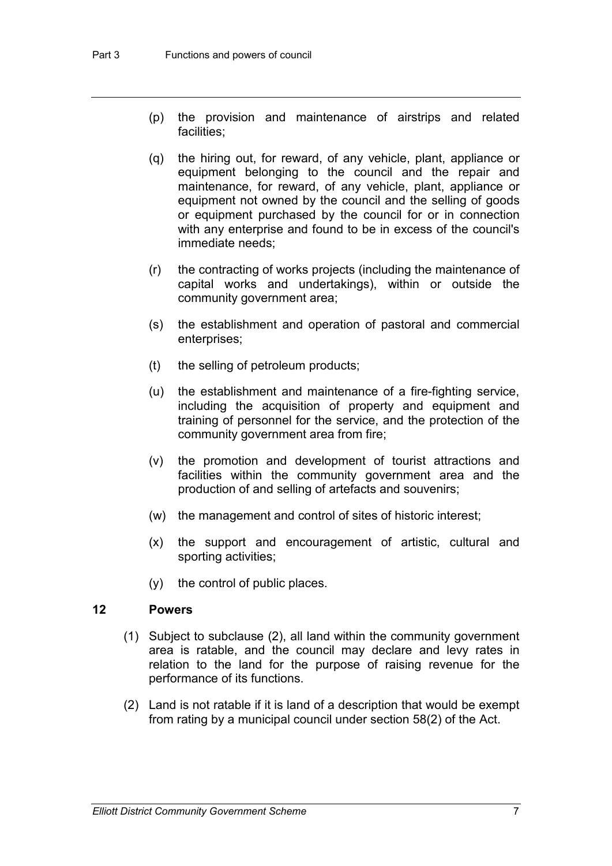- (p) the provision and maintenance of airstrips and related facilities;
- (q) the hiring out, for reward, of any vehicle, plant, appliance or equipment belonging to the council and the repair and maintenance, for reward, of any vehicle, plant, appliance or equipment not owned by the council and the selling of goods or equipment purchased by the council for or in connection with any enterprise and found to be in excess of the council's immediate needs;
- (r) the contracting of works projects (including the maintenance of capital works and undertakings), within or outside the community government area;
- (s) the establishment and operation of pastoral and commercial enterprises;
- (t) the selling of petroleum products;
- (u) the establishment and maintenance of a fire-fighting service, including the acquisition of property and equipment and training of personnel for the service, and the protection of the community government area from fire;
- (v) the promotion and development of tourist attractions and facilities within the community government area and the production of and selling of artefacts and souvenirs;
- (w) the management and control of sites of historic interest;
- (x) the support and encouragement of artistic, cultural and sporting activities;
- (y) the control of public places.

#### **12 Powers**

- (1) Subject to subclause (2), all land within the community government area is ratable, and the council may declare and levy rates in relation to the land for the purpose of raising revenue for the performance of its functions.
- (2) Land is not ratable if it is land of a description that would be exempt from rating by a municipal council under section 58(2) of the Act.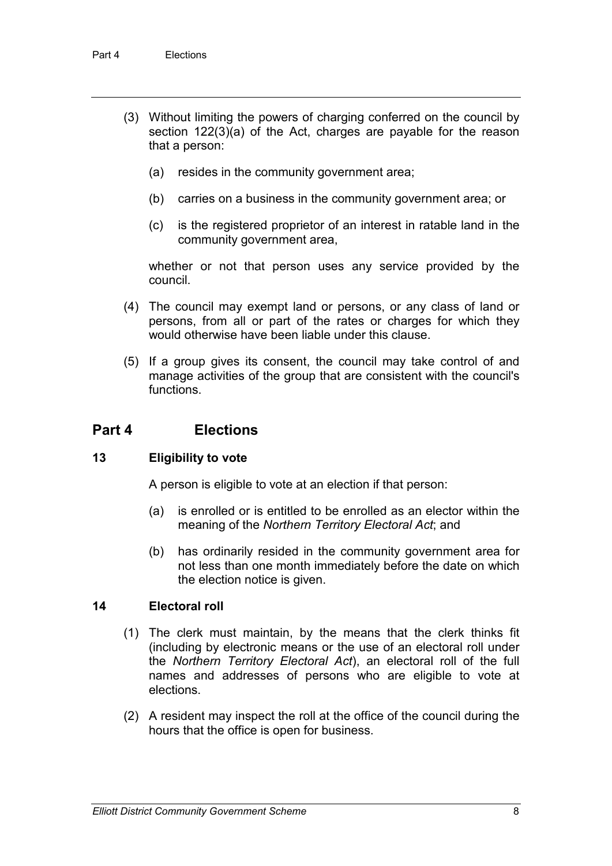- (3) Without limiting the powers of charging conferred on the council by section 122(3)(a) of the Act, charges are payable for the reason that a person:
	- (a) resides in the community government area;
	- (b) carries on a business in the community government area; or
	- (c) is the registered proprietor of an interest in ratable land in the community government area,

whether or not that person uses any service provided by the council.

- (4) The council may exempt land or persons, or any class of land or persons, from all or part of the rates or charges for which they would otherwise have been liable under this clause.
- (5) If a group gives its consent, the council may take control of and manage activities of the group that are consistent with the council's functions.

#### **Part 4 Elections**

#### **13 Eligibility to vote**

A person is eligible to vote at an election if that person:

- (a) is enrolled or is entitled to be enrolled as an elector within the meaning of the *Northern Territory Electoral Act*; and
- (b) has ordinarily resided in the community government area for not less than one month immediately before the date on which the election notice is given.

#### **14 Electoral roll**

- (1) The clerk must maintain, by the means that the clerk thinks fit (including by electronic means or the use of an electoral roll under the *Northern Territory Electoral Act*), an electoral roll of the full names and addresses of persons who are eligible to vote at elections.
- (2) A resident may inspect the roll at the office of the council during the hours that the office is open for business.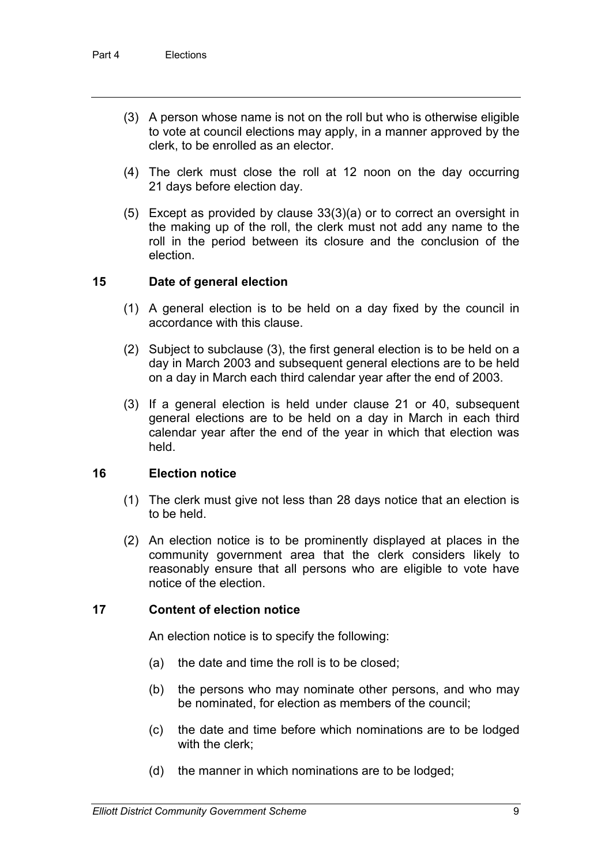- (3) A person whose name is not on the roll but who is otherwise eligible to vote at council elections may apply, in a manner approved by the clerk, to be enrolled as an elector.
- (4) The clerk must close the roll at 12 noon on the day occurring 21 days before election day.
- (5) Except as provided by clause 33(3)(a) or to correct an oversight in the making up of the roll, the clerk must not add any name to the roll in the period between its closure and the conclusion of the election.

#### **15 Date of general election**

- (1) A general election is to be held on a day fixed by the council in accordance with this clause.
- (2) Subject to subclause (3), the first general election is to be held on a day in March 2003 and subsequent general elections are to be held on a day in March each third calendar year after the end of 2003.
- (3) If a general election is held under clause 21 or 40, subsequent general elections are to be held on a day in March in each third calendar year after the end of the year in which that election was held.

#### **16 Election notice**

- (1) The clerk must give not less than 28 days notice that an election is to be held.
- (2) An election notice is to be prominently displayed at places in the community government area that the clerk considers likely to reasonably ensure that all persons who are eligible to vote have notice of the election.

#### **17 Content of election notice**

An election notice is to specify the following:

- (a) the date and time the roll is to be closed;
- (b) the persons who may nominate other persons, and who may be nominated, for election as members of the council;
- (c) the date and time before which nominations are to be lodged with the clerk;
- (d) the manner in which nominations are to be lodged;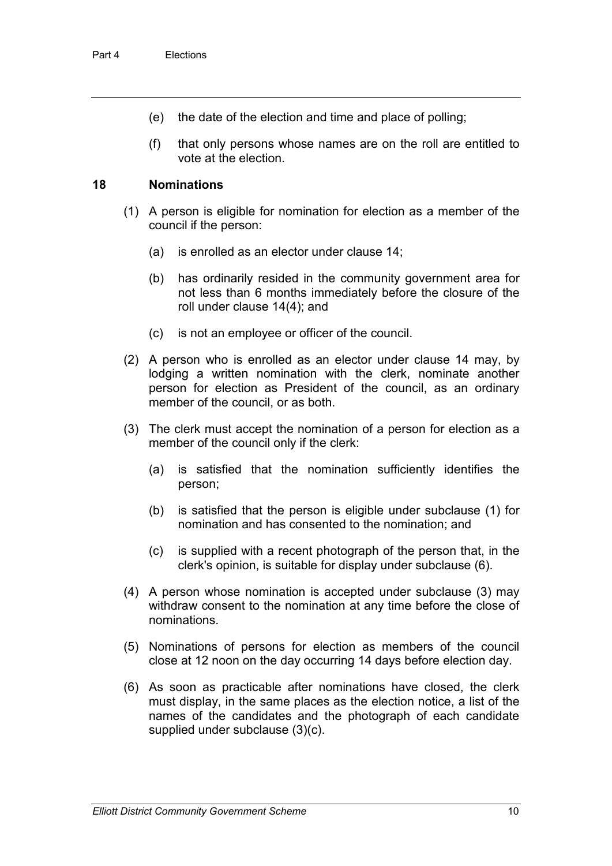- (e) the date of the election and time and place of polling;
- (f) that only persons whose names are on the roll are entitled to vote at the election.

#### **18 Nominations**

- (1) A person is eligible for nomination for election as a member of the council if the person:
	- (a) is enrolled as an elector under clause 14;
	- (b) has ordinarily resided in the community government area for not less than 6 months immediately before the closure of the roll under clause 14(4); and
	- (c) is not an employee or officer of the council.
- (2) A person who is enrolled as an elector under clause 14 may, by lodging a written nomination with the clerk, nominate another person for election as President of the council, as an ordinary member of the council, or as both.
- (3) The clerk must accept the nomination of a person for election as a member of the council only if the clerk:
	- (a) is satisfied that the nomination sufficiently identifies the person;
	- (b) is satisfied that the person is eligible under subclause (1) for nomination and has consented to the nomination; and
	- (c) is supplied with a recent photograph of the person that, in the clerk's opinion, is suitable for display under subclause (6).
- (4) A person whose nomination is accepted under subclause (3) may withdraw consent to the nomination at any time before the close of nominations.
- (5) Nominations of persons for election as members of the council close at 12 noon on the day occurring 14 days before election day.
- (6) As soon as practicable after nominations have closed, the clerk must display, in the same places as the election notice, a list of the names of the candidates and the photograph of each candidate supplied under subclause (3)(c).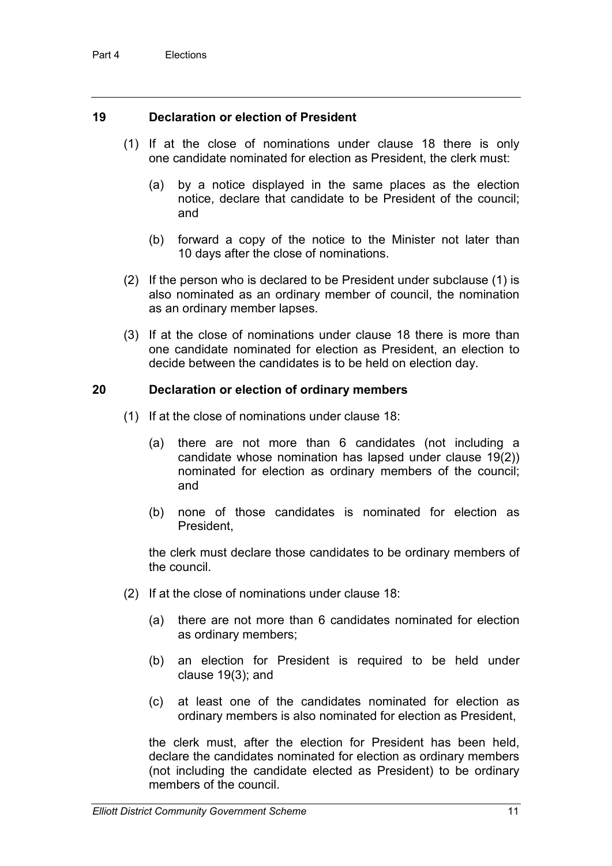#### **19 Declaration or election of President**

- (1) If at the close of nominations under clause 18 there is only one candidate nominated for election as President, the clerk must:
	- (a) by a notice displayed in the same places as the election notice, declare that candidate to be President of the council; and
	- (b) forward a copy of the notice to the Minister not later than 10 days after the close of nominations.
- (2) If the person who is declared to be President under subclause (1) is also nominated as an ordinary member of council, the nomination as an ordinary member lapses.
- (3) If at the close of nominations under clause 18 there is more than one candidate nominated for election as President, an election to decide between the candidates is to be held on election day.

#### **20 Declaration or election of ordinary members**

- (1) If at the close of nominations under clause 18:
	- (a) there are not more than 6 candidates (not including a candidate whose nomination has lapsed under clause 19(2)) nominated for election as ordinary members of the council; and
	- (b) none of those candidates is nominated for election as President,

the clerk must declare those candidates to be ordinary members of the council.

- (2) If at the close of nominations under clause 18:
	- (a) there are not more than 6 candidates nominated for election as ordinary members;
	- (b) an election for President is required to be held under clause 19(3); and
	- (c) at least one of the candidates nominated for election as ordinary members is also nominated for election as President,

the clerk must, after the election for President has been held, declare the candidates nominated for election as ordinary members (not including the candidate elected as President) to be ordinary members of the council.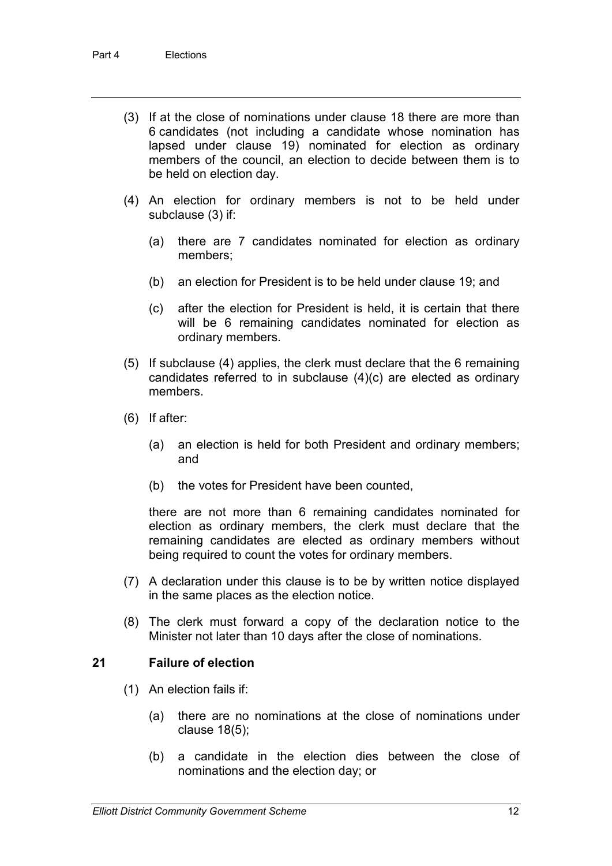- (3) If at the close of nominations under clause 18 there are more than 6 candidates (not including a candidate whose nomination has lapsed under clause 19) nominated for election as ordinary members of the council, an election to decide between them is to be held on election day.
- (4) An election for ordinary members is not to be held under subclause (3) if:
	- (a) there are 7 candidates nominated for election as ordinary members;
	- (b) an election for President is to be held under clause 19; and
	- (c) after the election for President is held, it is certain that there will be 6 remaining candidates nominated for election as ordinary members.
- (5) If subclause (4) applies, the clerk must declare that the 6 remaining candidates referred to in subclause (4)(c) are elected as ordinary members.
- (6) If after:
	- (a) an election is held for both President and ordinary members; and
	- (b) the votes for President have been counted,

there are not more than 6 remaining candidates nominated for election as ordinary members, the clerk must declare that the remaining candidates are elected as ordinary members without being required to count the votes for ordinary members.

- (7) A declaration under this clause is to be by written notice displayed in the same places as the election notice.
- (8) The clerk must forward a copy of the declaration notice to the Minister not later than 10 days after the close of nominations.

#### **21 Failure of election**

- (1) An election fails if:
	- (a) there are no nominations at the close of nominations under clause 18(5);
	- (b) a candidate in the election dies between the close of nominations and the election day; or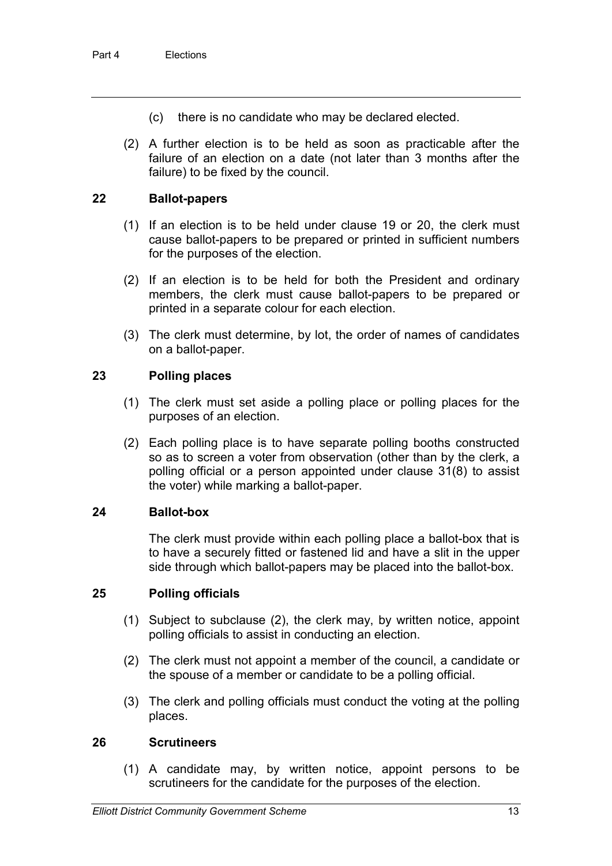- (c) there is no candidate who may be declared elected.
- (2) A further election is to be held as soon as practicable after the failure of an election on a date (not later than 3 months after the failure) to be fixed by the council.

#### **22 Ballot-papers**

- (1) If an election is to be held under clause 19 or 20, the clerk must cause ballot-papers to be prepared or printed in sufficient numbers for the purposes of the election.
- (2) If an election is to be held for both the President and ordinary members, the clerk must cause ballot-papers to be prepared or printed in a separate colour for each election.
- (3) The clerk must determine, by lot, the order of names of candidates on a ballot-paper.

#### **23 Polling places**

- (1) The clerk must set aside a polling place or polling places for the purposes of an election.
- (2) Each polling place is to have separate polling booths constructed so as to screen a voter from observation (other than by the clerk, a polling official or a person appointed under clause 31(8) to assist the voter) while marking a ballot-paper.

#### **24 Ballot-box**

The clerk must provide within each polling place a ballot-box that is to have a securely fitted or fastened lid and have a slit in the upper side through which ballot-papers may be placed into the ballot-box.

#### **25 Polling officials**

- (1) Subject to subclause (2), the clerk may, by written notice, appoint polling officials to assist in conducting an election.
- (2) The clerk must not appoint a member of the council, a candidate or the spouse of a member or candidate to be a polling official.
- (3) The clerk and polling officials must conduct the voting at the polling places.

#### **26 Scrutineers**

(1) A candidate may, by written notice, appoint persons to be scrutineers for the candidate for the purposes of the election.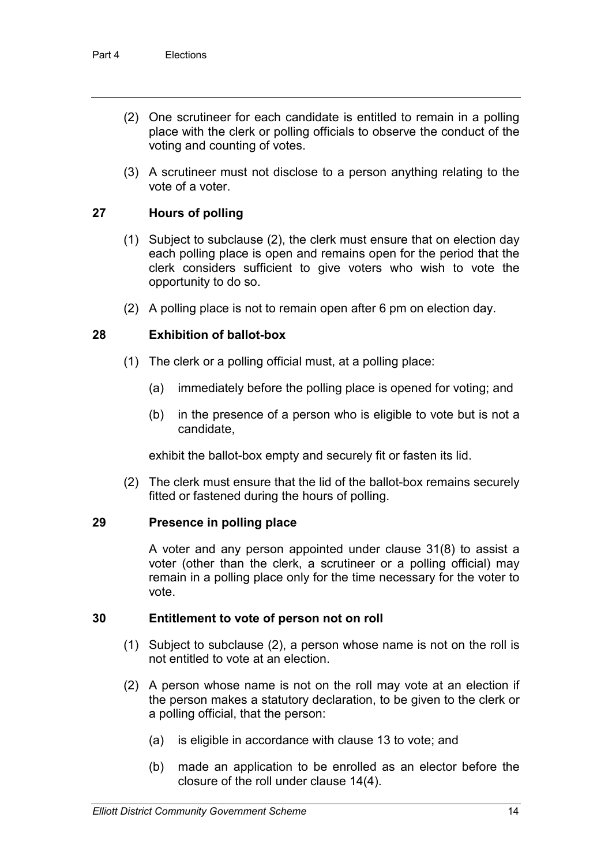- (2) One scrutineer for each candidate is entitled to remain in a polling place with the clerk or polling officials to observe the conduct of the voting and counting of votes.
- (3) A scrutineer must not disclose to a person anything relating to the vote of a voter.

#### **27 Hours of polling**

- (1) Subject to subclause (2), the clerk must ensure that on election day each polling place is open and remains open for the period that the clerk considers sufficient to give voters who wish to vote the opportunity to do so.
- (2) A polling place is not to remain open after 6 pm on election day.

#### **28 Exhibition of ballot-box**

- (1) The clerk or a polling official must, at a polling place:
	- (a) immediately before the polling place is opened for voting; and
	- (b) in the presence of a person who is eligible to vote but is not a candidate,

exhibit the ballot-box empty and securely fit or fasten its lid.

(2) The clerk must ensure that the lid of the ballot-box remains securely fitted or fastened during the hours of polling.

#### **29 Presence in polling place**

A voter and any person appointed under clause 31(8) to assist a voter (other than the clerk, a scrutineer or a polling official) may remain in a polling place only for the time necessary for the voter to vote.

#### **30 Entitlement to vote of person not on roll**

- (1) Subject to subclause (2), a person whose name is not on the roll is not entitled to vote at an election.
- (2) A person whose name is not on the roll may vote at an election if the person makes a statutory declaration, to be given to the clerk or a polling official, that the person:
	- (a) is eligible in accordance with clause 13 to vote; and
	- (b) made an application to be enrolled as an elector before the closure of the roll under clause 14(4).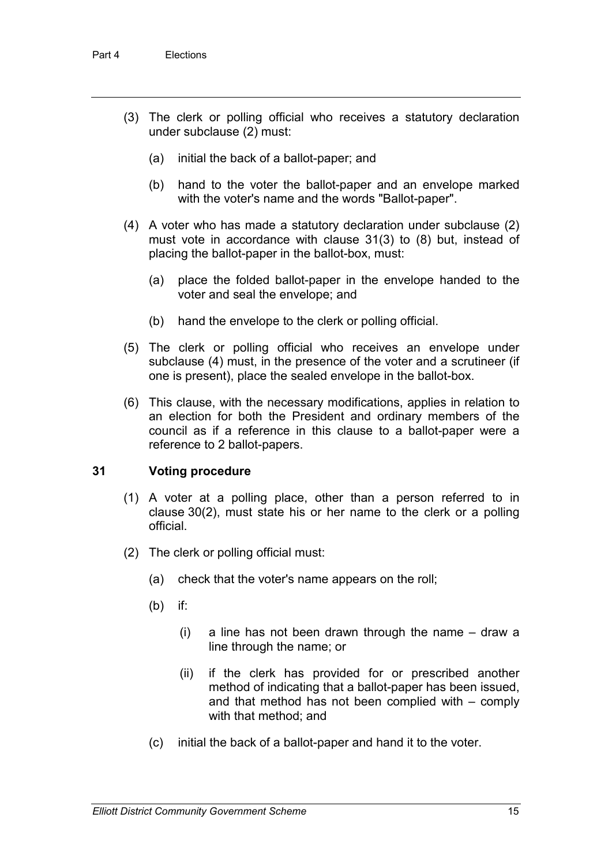- (3) The clerk or polling official who receives a statutory declaration under subclause (2) must:
	- (a) initial the back of a ballot-paper; and
	- (b) hand to the voter the ballot-paper and an envelope marked with the voter's name and the words "Ballot-paper".
- (4) A voter who has made a statutory declaration under subclause (2) must vote in accordance with clause 31(3) to (8) but, instead of placing the ballot-paper in the ballot-box, must:
	- (a) place the folded ballot-paper in the envelope handed to the voter and seal the envelope; and
	- (b) hand the envelope to the clerk or polling official.
- (5) The clerk or polling official who receives an envelope under subclause (4) must, in the presence of the voter and a scrutineer (if one is present), place the sealed envelope in the ballot-box.
- (6) This clause, with the necessary modifications, applies in relation to an election for both the President and ordinary members of the council as if a reference in this clause to a ballot-paper were a reference to 2 ballot-papers.

#### **31 Voting procedure**

- (1) A voter at a polling place, other than a person referred to in clause 30(2), must state his or her name to the clerk or a polling official.
- (2) The clerk or polling official must:
	- (a) check that the voter's name appears on the roll;
	- (b) if:
		- (i) a line has not been drawn through the name draw a line through the name; or
		- (ii) if the clerk has provided for or prescribed another method of indicating that a ballot-paper has been issued, and that method has not been complied with – comply with that method; and
	- (c) initial the back of a ballot-paper and hand it to the voter.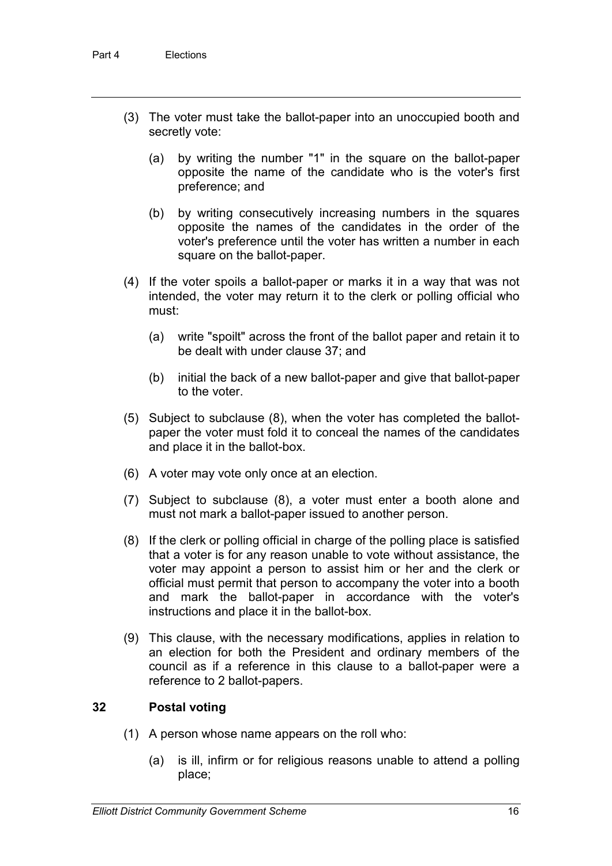- (3) The voter must take the ballot-paper into an unoccupied booth and secretly vote:
	- (a) by writing the number "1" in the square on the ballot-paper opposite the name of the candidate who is the voter's first preference; and
	- (b) by writing consecutively increasing numbers in the squares opposite the names of the candidates in the order of the voter's preference until the voter has written a number in each square on the ballot-paper.
- (4) If the voter spoils a ballot-paper or marks it in a way that was not intended, the voter may return it to the clerk or polling official who must:
	- (a) write "spoilt" across the front of the ballot paper and retain it to be dealt with under clause 37; and
	- (b) initial the back of a new ballot-paper and give that ballot-paper to the voter.
- (5) Subject to subclause (8), when the voter has completed the ballotpaper the voter must fold it to conceal the names of the candidates and place it in the ballot-box.
- (6) A voter may vote only once at an election.
- (7) Subject to subclause (8), a voter must enter a booth alone and must not mark a ballot-paper issued to another person.
- (8) If the clerk or polling official in charge of the polling place is satisfied that a voter is for any reason unable to vote without assistance, the voter may appoint a person to assist him or her and the clerk or official must permit that person to accompany the voter into a booth and mark the ballot-paper in accordance with the voter's instructions and place it in the ballot-box.
- (9) This clause, with the necessary modifications, applies in relation to an election for both the President and ordinary members of the council as if a reference in this clause to a ballot-paper were a reference to 2 ballot-papers.

#### **32 Postal voting**

- (1) A person whose name appears on the roll who:
	- (a) is ill, infirm or for religious reasons unable to attend a polling place;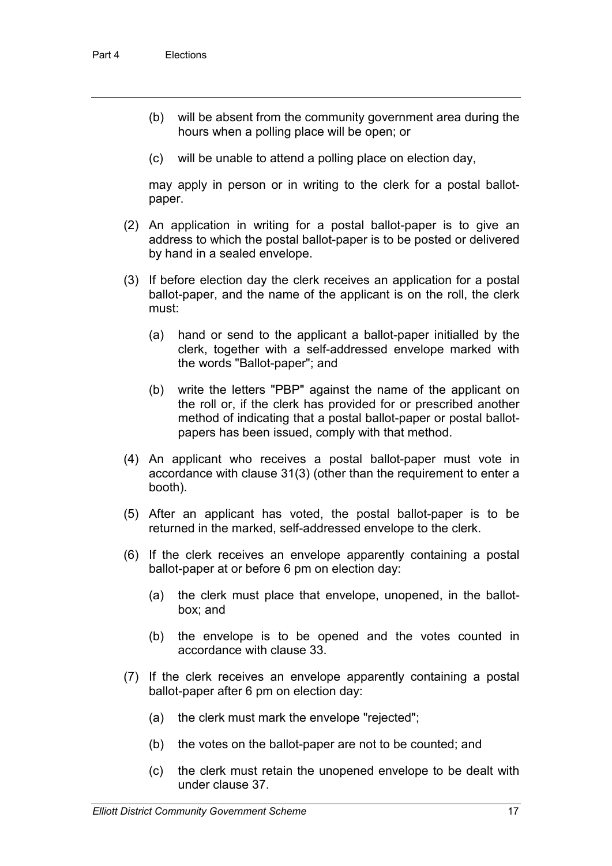- (b) will be absent from the community government area during the hours when a polling place will be open; or
- (c) will be unable to attend a polling place on election day,

may apply in person or in writing to the clerk for a postal ballotpaper.

- (2) An application in writing for a postal ballot-paper is to give an address to which the postal ballot-paper is to be posted or delivered by hand in a sealed envelope.
- (3) If before election day the clerk receives an application for a postal ballot-paper, and the name of the applicant is on the roll, the clerk must:
	- (a) hand or send to the applicant a ballot-paper initialled by the clerk, together with a self-addressed envelope marked with the words "Ballot-paper"; and
	- (b) write the letters "PBP" against the name of the applicant on the roll or, if the clerk has provided for or prescribed another method of indicating that a postal ballot-paper or postal ballotpapers has been issued, comply with that method.
- (4) An applicant who receives a postal ballot-paper must vote in accordance with clause 31(3) (other than the requirement to enter a booth).
- (5) After an applicant has voted, the postal ballot-paper is to be returned in the marked, self-addressed envelope to the clerk.
- (6) If the clerk receives an envelope apparently containing a postal ballot-paper at or before 6 pm on election day:
	- (a) the clerk must place that envelope, unopened, in the ballotbox; and
	- (b) the envelope is to be opened and the votes counted in accordance with clause 33.
- (7) If the clerk receives an envelope apparently containing a postal ballot-paper after 6 pm on election day:
	- (a) the clerk must mark the envelope "rejected";
	- (b) the votes on the ballot-paper are not to be counted; and
	- (c) the clerk must retain the unopened envelope to be dealt with under clause 37.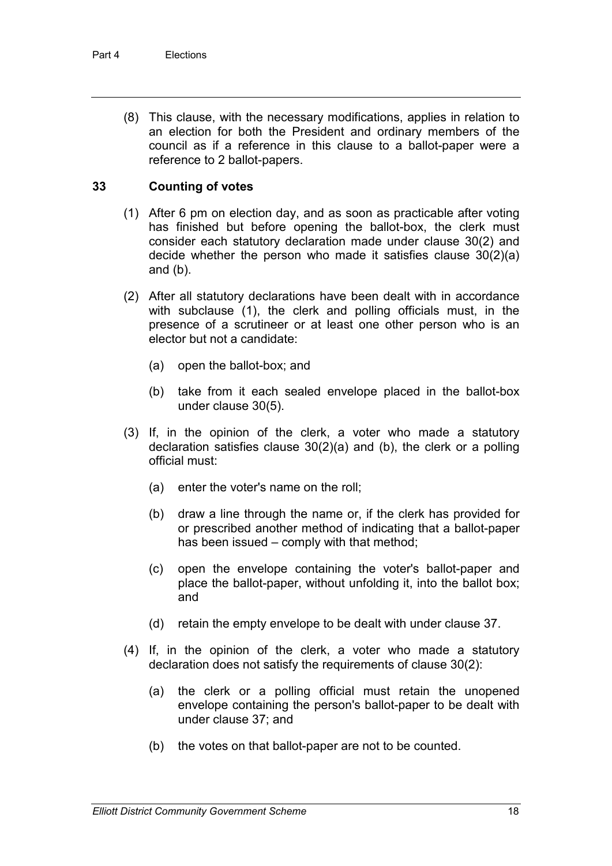(8) This clause, with the necessary modifications, applies in relation to an election for both the President and ordinary members of the council as if a reference in this clause to a ballot-paper were a reference to 2 ballot-papers.

#### **33 Counting of votes**

- (1) After 6 pm on election day, and as soon as practicable after voting has finished but before opening the ballot-box, the clerk must consider each statutory declaration made under clause 30(2) and decide whether the person who made it satisfies clause 30(2)(a) and (b).
- (2) After all statutory declarations have been dealt with in accordance with subclause (1), the clerk and polling officials must, in the presence of a scrutineer or at least one other person who is an elector but not a candidate:
	- (a) open the ballot-box; and
	- (b) take from it each sealed envelope placed in the ballot-box under clause 30(5).
- (3) If, in the opinion of the clerk, a voter who made a statutory declaration satisfies clause 30(2)(a) and (b), the clerk or a polling official must:
	- (a) enter the voter's name on the roll;
	- (b) draw a line through the name or, if the clerk has provided for or prescribed another method of indicating that a ballot-paper has been issued – comply with that method;
	- (c) open the envelope containing the voter's ballot-paper and place the ballot-paper, without unfolding it, into the ballot box; and
	- (d) retain the empty envelope to be dealt with under clause 37.
- (4) If, in the opinion of the clerk, a voter who made a statutory declaration does not satisfy the requirements of clause 30(2):
	- (a) the clerk or a polling official must retain the unopened envelope containing the person's ballot-paper to be dealt with under clause 37; and
	- (b) the votes on that ballot-paper are not to be counted.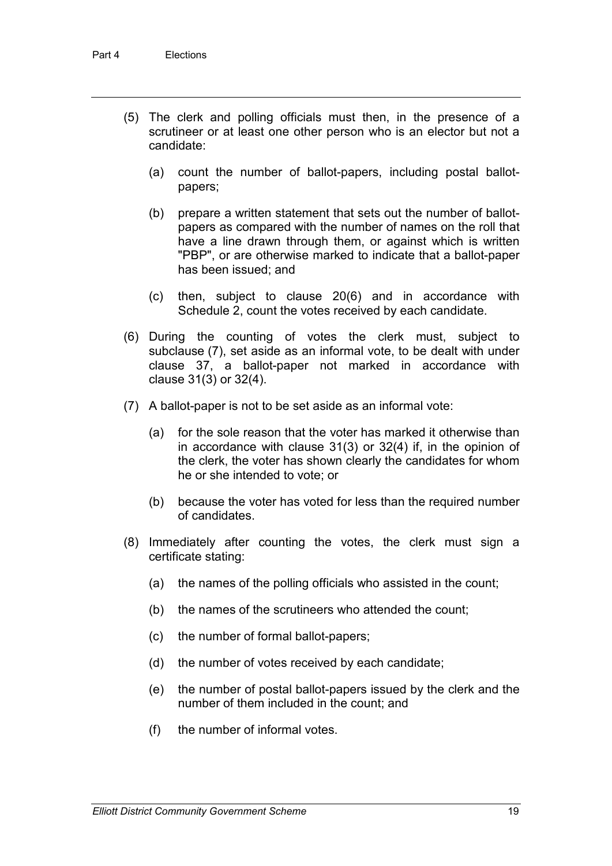- (5) The clerk and polling officials must then, in the presence of a scrutineer or at least one other person who is an elector but not a candidate:
	- (a) count the number of ballot-papers, including postal ballotpapers;
	- (b) prepare a written statement that sets out the number of ballotpapers as compared with the number of names on the roll that have a line drawn through them, or against which is written "PBP", or are otherwise marked to indicate that a ballot-paper has been issued; and
	- (c) then, subject to clause 20(6) and in accordance with Schedule 2, count the votes received by each candidate.
- (6) During the counting of votes the clerk must, subject to subclause (7), set aside as an informal vote, to be dealt with under clause 37, a ballot-paper not marked in accordance with clause 31(3) or 32(4).
- (7) A ballot-paper is not to be set aside as an informal vote:
	- (a) for the sole reason that the voter has marked it otherwise than in accordance with clause 31(3) or 32(4) if, in the opinion of the clerk, the voter has shown clearly the candidates for whom he or she intended to vote; or
	- (b) because the voter has voted for less than the required number of candidates.
- (8) Immediately after counting the votes, the clerk must sign a certificate stating:
	- (a) the names of the polling officials who assisted in the count;
	- (b) the names of the scrutineers who attended the count;
	- (c) the number of formal ballot-papers;
	- (d) the number of votes received by each candidate;
	- (e) the number of postal ballot-papers issued by the clerk and the number of them included in the count; and
	- (f) the number of informal votes.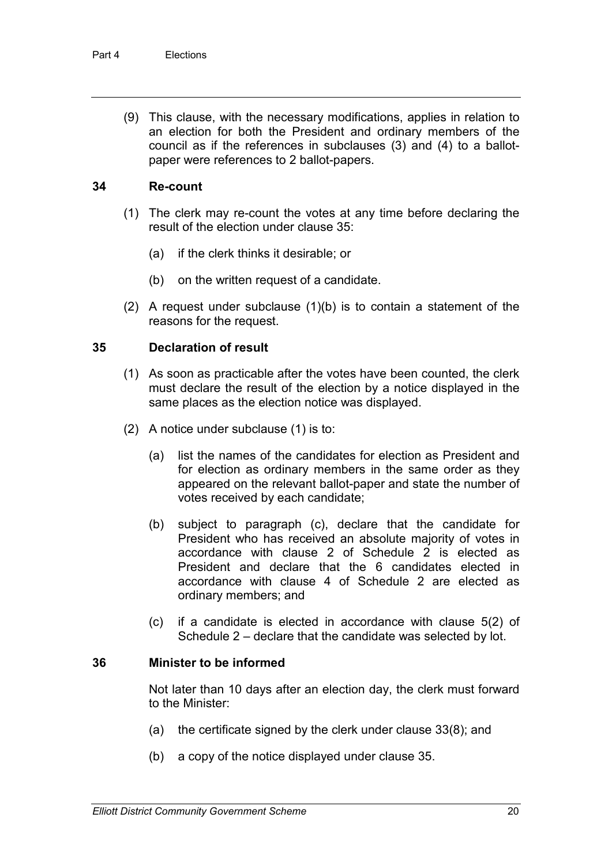(9) This clause, with the necessary modifications, applies in relation to an election for both the President and ordinary members of the council as if the references in subclauses (3) and (4) to a ballotpaper were references to 2 ballot-papers.

#### **34 Re-count**

- (1) The clerk may re-count the votes at any time before declaring the result of the election under clause 35:
	- (a) if the clerk thinks it desirable; or
	- (b) on the written request of a candidate.
- (2) A request under subclause (1)(b) is to contain a statement of the reasons for the request.

#### **35 Declaration of result**

- (1) As soon as practicable after the votes have been counted, the clerk must declare the result of the election by a notice displayed in the same places as the election notice was displayed.
- (2) A notice under subclause (1) is to:
	- (a) list the names of the candidates for election as President and for election as ordinary members in the same order as they appeared on the relevant ballot-paper and state the number of votes received by each candidate;
	- (b) subject to paragraph (c), declare that the candidate for President who has received an absolute majority of votes in accordance with clause 2 of Schedule 2 is elected as President and declare that the 6 candidates elected in accordance with clause 4 of Schedule 2 are elected as ordinary members; and
	- (c) if a candidate is elected in accordance with clause 5(2) of Schedule 2 – declare that the candidate was selected by lot.

#### **36 Minister to be informed**

Not later than 10 days after an election day, the clerk must forward to the Minister:

- (a) the certificate signed by the clerk under clause 33(8); and
- (b) a copy of the notice displayed under clause 35.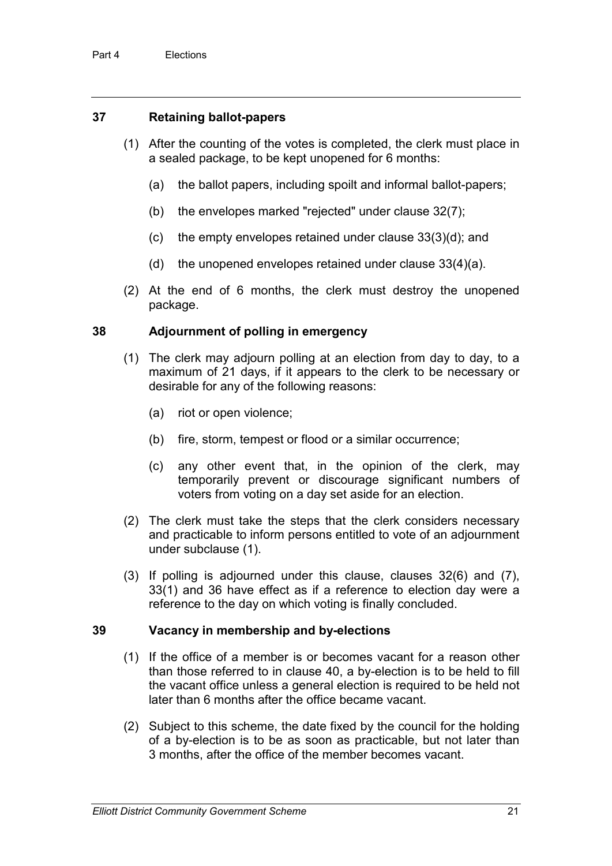#### **37 Retaining ballot-papers**

- (1) After the counting of the votes is completed, the clerk must place in a sealed package, to be kept unopened for 6 months:
	- (a) the ballot papers, including spoilt and informal ballot-papers;
	- (b) the envelopes marked "rejected" under clause 32(7);
	- (c) the empty envelopes retained under clause 33(3)(d); and
	- (d) the unopened envelopes retained under clause 33(4)(a).
- (2) At the end of 6 months, the clerk must destroy the unopened package.

#### **38 Adjournment of polling in emergency**

- (1) The clerk may adjourn polling at an election from day to day, to a maximum of 21 days, if it appears to the clerk to be necessary or desirable for any of the following reasons:
	- (a) riot or open violence;
	- (b) fire, storm, tempest or flood or a similar occurrence;
	- (c) any other event that, in the opinion of the clerk, may temporarily prevent or discourage significant numbers of voters from voting on a day set aside for an election.
- (2) The clerk must take the steps that the clerk considers necessary and practicable to inform persons entitled to vote of an adjournment under subclause (1).
- (3) If polling is adjourned under this clause, clauses 32(6) and (7), 33(1) and 36 have effect as if a reference to election day were a reference to the day on which voting is finally concluded.

#### **39 Vacancy in membership and by-elections**

- (1) If the office of a member is or becomes vacant for a reason other than those referred to in clause 40, a by-election is to be held to fill the vacant office unless a general election is required to be held not later than 6 months after the office became vacant.
- (2) Subject to this scheme, the date fixed by the council for the holding of a by-election is to be as soon as practicable, but not later than 3 months, after the office of the member becomes vacant.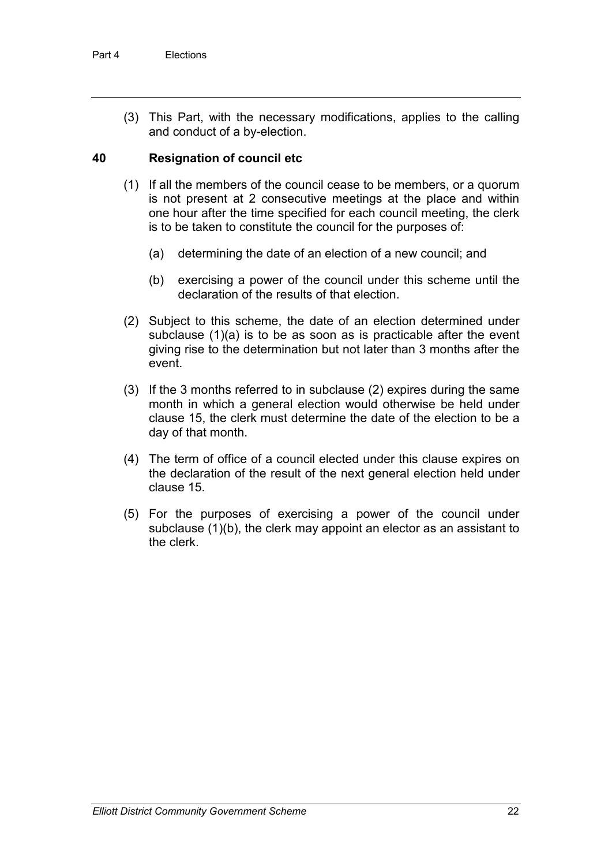(3) This Part, with the necessary modifications, applies to the calling and conduct of a by-election.

#### **40 Resignation of council etc**

- (1) If all the members of the council cease to be members, or a quorum is not present at 2 consecutive meetings at the place and within one hour after the time specified for each council meeting, the clerk is to be taken to constitute the council for the purposes of:
	- (a) determining the date of an election of a new council; and
	- (b) exercising a power of the council under this scheme until the declaration of the results of that election.
- (2) Subject to this scheme, the date of an election determined under subclause (1)(a) is to be as soon as is practicable after the event giving rise to the determination but not later than 3 months after the event.
- (3) If the 3 months referred to in subclause (2) expires during the same month in which a general election would otherwise be held under clause 15, the clerk must determine the date of the election to be a day of that month.
- (4) The term of office of a council elected under this clause expires on the declaration of the result of the next general election held under clause 15.
- (5) For the purposes of exercising a power of the council under subclause (1)(b), the clerk may appoint an elector as an assistant to the clerk.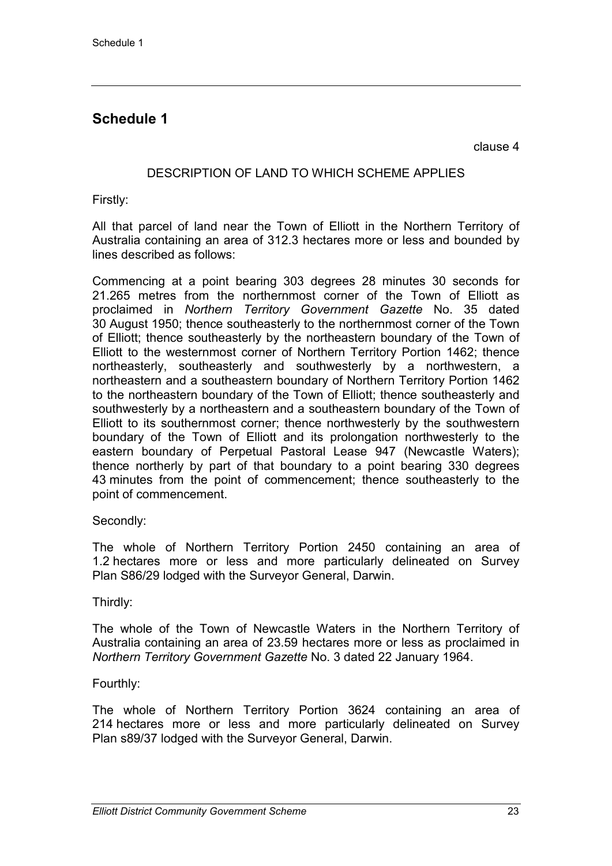## **Schedule 1**

clause 4

#### DESCRIPTION OF LAND TO WHICH SCHEME APPLIES

Firstly:

All that parcel of land near the Town of Elliott in the Northern Territory of Australia containing an area of 312.3 hectares more or less and bounded by lines described as follows:

Commencing at a point bearing 303 degrees 28 minutes 30 seconds for 21.265 metres from the northernmost corner of the Town of Elliott as proclaimed in *Northern Territory Government Gazette* No. 35 dated 30 August 1950; thence southeasterly to the northernmost corner of the Town of Elliott; thence southeasterly by the northeastern boundary of the Town of Elliott to the westernmost corner of Northern Territory Portion 1462; thence northeasterly, southeasterly and southwesterly by a northwestern, a northeastern and a southeastern boundary of Northern Territory Portion 1462 to the northeastern boundary of the Town of Elliott; thence southeasterly and southwesterly by a northeastern and a southeastern boundary of the Town of Elliott to its southernmost corner; thence northwesterly by the southwestern boundary of the Town of Elliott and its prolongation northwesterly to the eastern boundary of Perpetual Pastoral Lease 947 (Newcastle Waters); thence northerly by part of that boundary to a point bearing 330 degrees 43 minutes from the point of commencement; thence southeasterly to the point of commencement.

Secondly:

The whole of Northern Territory Portion 2450 containing an area of 1.2 hectares more or less and more particularly delineated on Survey Plan S86/29 lodged with the Surveyor General, Darwin.

Thirdly:

The whole of the Town of Newcastle Waters in the Northern Territory of Australia containing an area of 23.59 hectares more or less as proclaimed in *Northern Territory Government Gazette* No. 3 dated 22 January 1964.

#### Fourthly:

The whole of Northern Territory Portion 3624 containing an area of 214 hectares more or less and more particularly delineated on Survey Plan s89/37 lodged with the Surveyor General, Darwin.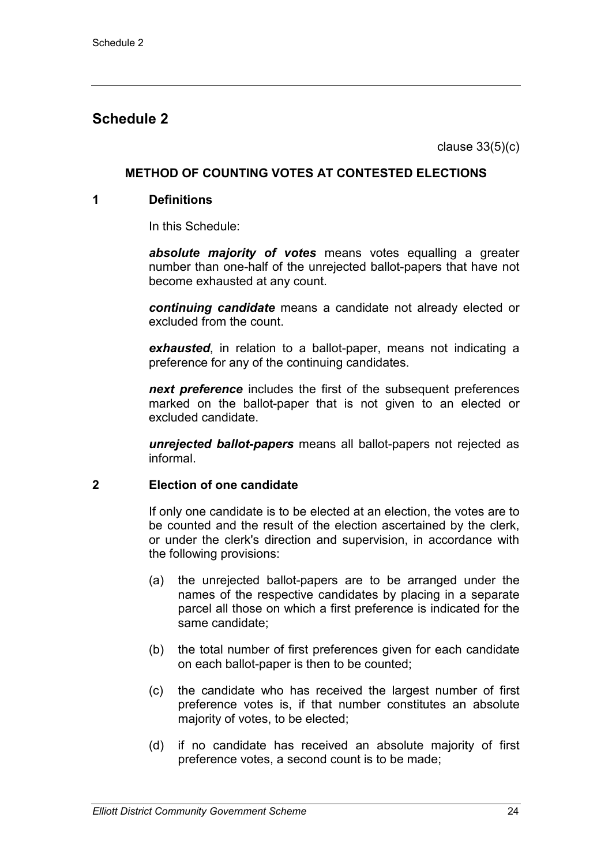### **Schedule 2**

clause 33(5)(c)

#### **METHOD OF COUNTING VOTES AT CONTESTED ELECTIONS**

#### **1 Definitions**

In this Schedule:

*absolute majority of votes* means votes equalling a greater number than one-half of the unrejected ballot-papers that have not become exhausted at any count.

*continuing candidate* means a candidate not already elected or excluded from the count.

*exhausted*, in relation to a ballot-paper, means not indicating a preference for any of the continuing candidates.

*next preference* includes the first of the subsequent preferences marked on the ballot-paper that is not given to an elected or excluded candidate.

*unrejected ballot-papers* means all ballot-papers not rejected as informal.

#### **2 Election of one candidate**

If only one candidate is to be elected at an election, the votes are to be counted and the result of the election ascertained by the clerk, or under the clerk's direction and supervision, in accordance with the following provisions:

- (a) the unrejected ballot-papers are to be arranged under the names of the respective candidates by placing in a separate parcel all those on which a first preference is indicated for the same candidate;
- (b) the total number of first preferences given for each candidate on each ballot-paper is then to be counted;
- (c) the candidate who has received the largest number of first preference votes is, if that number constitutes an absolute majority of votes, to be elected;
- (d) if no candidate has received an absolute majority of first preference votes, a second count is to be made;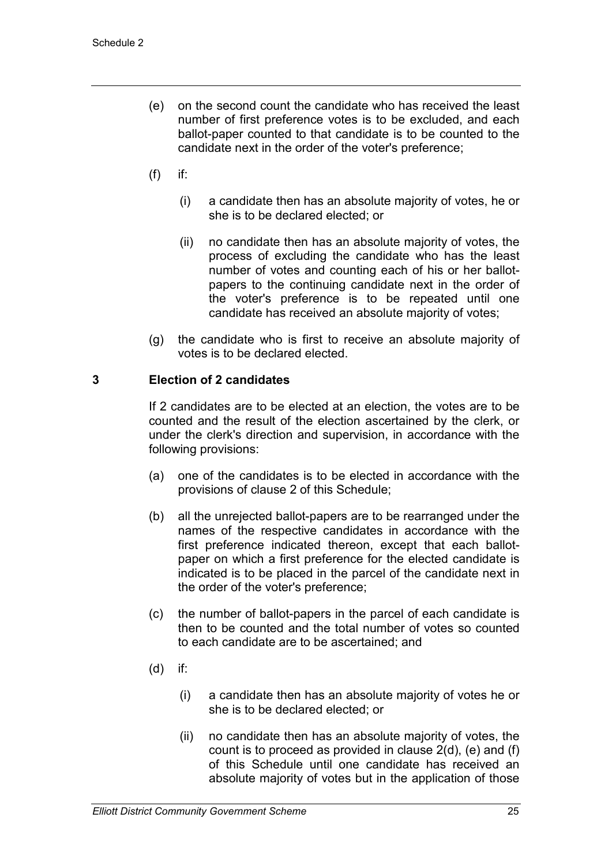- (e) on the second count the candidate who has received the least number of first preference votes is to be excluded, and each ballot-paper counted to that candidate is to be counted to the candidate next in the order of the voter's preference;
- $(f)$  if:
	- (i) a candidate then has an absolute majority of votes, he or she is to be declared elected; or
	- (ii) no candidate then has an absolute majority of votes, the process of excluding the candidate who has the least number of votes and counting each of his or her ballotpapers to the continuing candidate next in the order of the voter's preference is to be repeated until one candidate has received an absolute majority of votes;
- (g) the candidate who is first to receive an absolute majority of votes is to be declared elected.

#### **3 Election of 2 candidates**

If 2 candidates are to be elected at an election, the votes are to be counted and the result of the election ascertained by the clerk, or under the clerk's direction and supervision, in accordance with the following provisions:

- (a) one of the candidates is to be elected in accordance with the provisions of clause 2 of this Schedule;
- (b) all the unrejected ballot-papers are to be rearranged under the names of the respective candidates in accordance with the first preference indicated thereon, except that each ballotpaper on which a first preference for the elected candidate is indicated is to be placed in the parcel of the candidate next in the order of the voter's preference;
- (c) the number of ballot-papers in the parcel of each candidate is then to be counted and the total number of votes so counted to each candidate are to be ascertained; and
- (d) if:
	- (i) a candidate then has an absolute majority of votes he or she is to be declared elected; or
	- (ii) no candidate then has an absolute majority of votes, the count is to proceed as provided in clause 2(d), (e) and (f) of this Schedule until one candidate has received an absolute majority of votes but in the application of those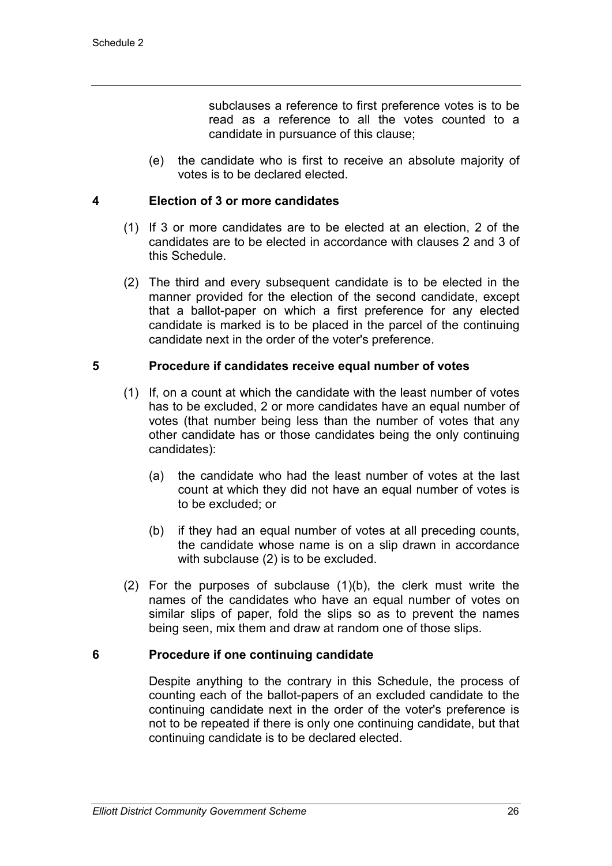subclauses a reference to first preference votes is to be read as a reference to all the votes counted to a candidate in pursuance of this clause;

(e) the candidate who is first to receive an absolute majority of votes is to be declared elected.

#### **4 Election of 3 or more candidates**

- (1) If 3 or more candidates are to be elected at an election, 2 of the candidates are to be elected in accordance with clauses 2 and 3 of this Schedule.
- (2) The third and every subsequent candidate is to be elected in the manner provided for the election of the second candidate, except that a ballot-paper on which a first preference for any elected candidate is marked is to be placed in the parcel of the continuing candidate next in the order of the voter's preference.

#### **5 Procedure if candidates receive equal number of votes**

- (1) If, on a count at which the candidate with the least number of votes has to be excluded, 2 or more candidates have an equal number of votes (that number being less than the number of votes that any other candidate has or those candidates being the only continuing candidates):
	- (a) the candidate who had the least number of votes at the last count at which they did not have an equal number of votes is to be excluded; or
	- (b) if they had an equal number of votes at all preceding counts, the candidate whose name is on a slip drawn in accordance with subclause (2) is to be excluded.
- (2) For the purposes of subclause (1)(b), the clerk must write the names of the candidates who have an equal number of votes on similar slips of paper, fold the slips so as to prevent the names being seen, mix them and draw at random one of those slips.

#### **6 Procedure if one continuing candidate**

Despite anything to the contrary in this Schedule, the process of counting each of the ballot-papers of an excluded candidate to the continuing candidate next in the order of the voter's preference is not to be repeated if there is only one continuing candidate, but that continuing candidate is to be declared elected.